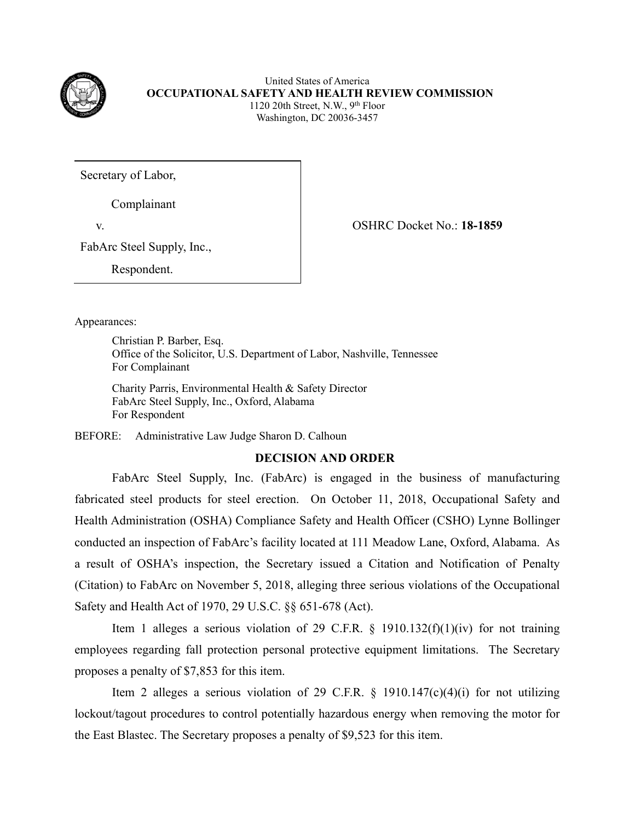

United States of America **OCCUPATIONAL SAFETY AND HEALTH REVIEW COMMISSION** 1120 20th Street, N.W., 9th Floor Washington, DC 20036-3457

Secretary of Labor,

Complainant

v. OSHRC Docket No.: **18-1859**

FabArc Steel Supply, Inc.,

Respondent.

Appearances:

 Christian P. Barber, Esq. Office of the Solicitor, U.S. Department of Labor, Nashville, Tennessee For Complainant

Charity Parris, Environmental Health & Safety Director FabArc Steel Supply, Inc., Oxford, Alabama For Respondent

BEFORE: Administrative Law Judge Sharon D. Calhoun

## **DECISION AND ORDER**

FabArc Steel Supply, Inc. (FabArc) is engaged in the business of manufacturing fabricated steel products for steel erection. On October 11, 2018, Occupational Safety and Health Administration (OSHA) Compliance Safety and Health Officer (CSHO) Lynne Bollinger conducted an inspection of FabArc's facility located at 111 Meadow Lane, Oxford, Alabama. As a result of OSHA's inspection, the Secretary issued a Citation and Notification of Penalty (Citation) to FabArc on November 5, 2018, alleging three serious violations of the Occupational Safety and Health Act of 1970, 29 U.S.C. §§ 651-678 (Act).

Item 1 alleges a serious violation of 29 C.F.R.  $\S$  1910.132(f)(1)(iv) for not training employees regarding fall protection personal protective equipment limitations. The Secretary proposes a penalty of \$7,853 for this item.

Item 2 alleges a serious violation of 29 C.F.R.  $\S$  1910.147(c)(4)(i) for not utilizing lockout/tagout procedures to control potentially hazardous energy when removing the motor for the East Blastec. The Secretary proposes a penalty of \$9,523 for this item.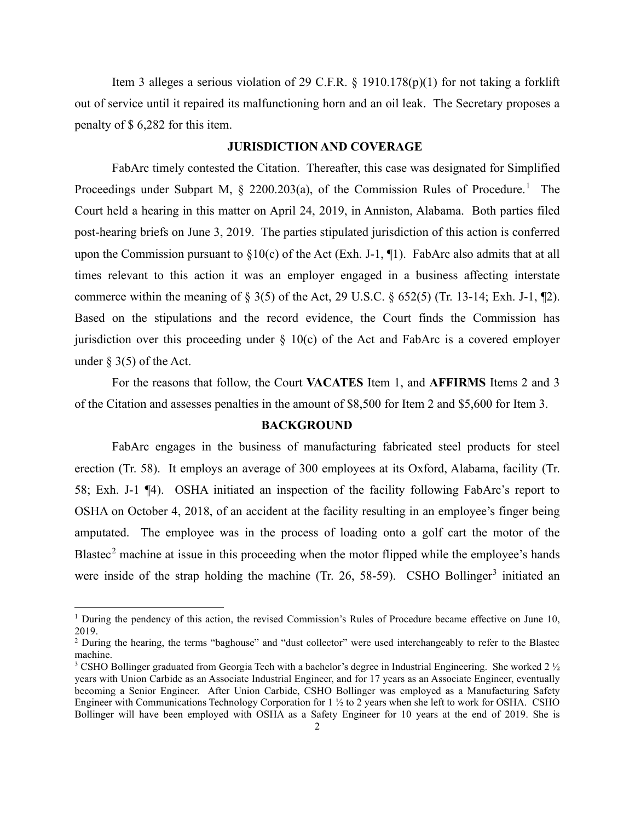Item 3 alleges a serious violation of 29 C.F.R. § 1910.178(p)(1) for not taking a forklift out of service until it repaired its malfunctioning horn and an oil leak. The Secretary proposes a penalty of \$ 6,282 for this item.

#### **JURISDICTION AND COVERAGE**

FabArc timely contested the Citation. Thereafter, this case was designated for Simplified Proceedings under Subpart M,  $\S$  2200.203(a), of the Commission Rules of Procedure.<sup>[1](#page-1-0)</sup> The Court held a hearing in this matter on April 24, 2019, in Anniston, Alabama. Both parties filed post-hearing briefs on June 3, 2019. The parties stipulated jurisdiction of this action is conferred upon the Commission pursuant to  $\S 10(c)$  of the Act (Exh. J-1, ¶1). FabArc also admits that at all times relevant to this action it was an employer engaged in a business affecting interstate commerce within the meaning of  $\S 3(5)$  of the Act, 29 U.S.C.  $\S 652(5)$  (Tr. 13-14; Exh. J-1,  $\P 2$ ). Based on the stipulations and the record evidence, the Court finds the Commission has jurisdiction over this proceeding under  $\S$  10(c) of the Act and FabArc is a covered employer under  $\S$  3(5) of the Act.

For the reasons that follow, the Court **VACATES** Item 1, and **AFFIRMS** Items 2 and 3 of the Citation and assesses penalties in the amount of \$8,500 for Item 2 and \$5,600 for Item 3.

#### **BACKGROUND**

FabArc engages in the business of manufacturing fabricated steel products for steel erection (Tr. 58). It employs an average of 300 employees at its Oxford, Alabama, facility (Tr. 58; Exh. J-1 ¶4). OSHA initiated an inspection of the facility following FabArc's report to OSHA on October 4, 2018, of an accident at the facility resulting in an employee's finger being amputated. The employee was in the process of loading onto a golf cart the motor of the Blastec<sup>[2](#page-1-1)</sup> machine at issue in this proceeding when the motor flipped while the employee's hands were inside of the strap holding the machine (Tr. 26, 58-59). CSHO Bollinger<sup>[3](#page-1-2)</sup> initiated an

<span id="page-1-0"></span><sup>&</sup>lt;sup>1</sup> During the pendency of this action, the revised Commission's Rules of Procedure became effective on June 10, 2019.

<span id="page-1-1"></span><sup>&</sup>lt;sup>2</sup> During the hearing, the terms "baghouse" and "dust collector" were used interchangeably to refer to the Blastec machine.

<span id="page-1-2"></span><sup>&</sup>lt;sup>3</sup> CSHO Bollinger graduated from Georgia Tech with a bachelor's degree in Industrial Engineering. She worked 2 ½ years with Union Carbide as an Associate Industrial Engineer, and for 17 years as an Associate Engineer, eventually becoming a Senior Engineer. After Union Carbide, CSHO Bollinger was employed as a Manufacturing Safety Engineer with Communications Technology Corporation for 1 ½ to 2 years when she left to work for OSHA. CSHO Bollinger will have been employed with OSHA as a Safety Engineer for 10 years at the end of 2019. She is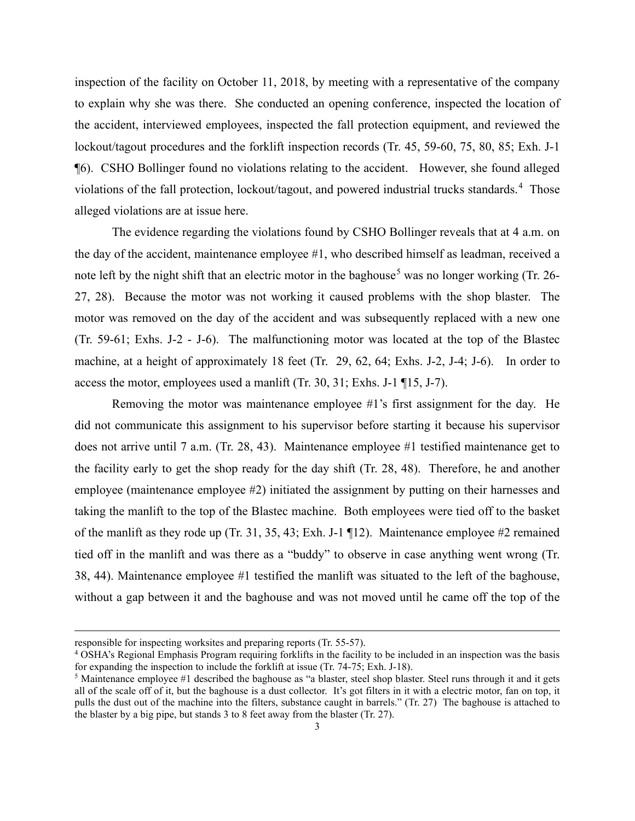inspection of the facility on October 11, 2018, by meeting with a representative of the company to explain why she was there. She conducted an opening conference, inspected the location of the accident, interviewed employees, inspected the fall protection equipment, and reviewed the lockout/tagout procedures and the forklift inspection records (Tr. 45, 59-60, 75, 80, 85; Exh. J-1 ¶6). CSHO Bollinger found no violations relating to the accident. However, she found alleged violations of the fall protection, lockout/tagout, and powered industrial trucks standards.<sup>[4](#page-2-0)</sup> Those alleged violations are at issue here.

The evidence regarding the violations found by CSHO Bollinger reveals that at 4 a.m. on the day of the accident, maintenance employee #1, who described himself as leadman, received a note left by the night shift that an electric motor in the baghouse<sup>[5](#page-2-1)</sup> was no longer working (Tr. 26-27, 28). Because the motor was not working it caused problems with the shop blaster. The motor was removed on the day of the accident and was subsequently replaced with a new one (Tr. 59-61; Exhs. J-2 - J-6). The malfunctioning motor was located at the top of the Blastec machine, at a height of approximately 18 feet (Tr. 29, 62, 64; Exhs. J-2, J-4; J-6). In order to access the motor, employees used a manlift (Tr. 30, 31; Exhs. J-1 ¶15, J-7).

Removing the motor was maintenance employee #1's first assignment for the day. He did not communicate this assignment to his supervisor before starting it because his supervisor does not arrive until 7 a.m. (Tr. 28, 43). Maintenance employee #1 testified maintenance get to the facility early to get the shop ready for the day shift (Tr. 28, 48). Therefore, he and another employee (maintenance employee #2) initiated the assignment by putting on their harnesses and taking the manlift to the top of the Blastec machine. Both employees were tied off to the basket of the manlift as they rode up (Tr. 31, 35, 43; Exh. J-1 ¶12). Maintenance employee #2 remained tied off in the manlift and was there as a "buddy" to observe in case anything went wrong (Tr. 38, 44). Maintenance employee #1 testified the manlift was situated to the left of the baghouse, without a gap between it and the baghouse and was not moved until he came off the top of the

<span id="page-2-0"></span>responsible for inspecting worksites and preparing reports (Tr. 55-57). 4 OSHA's Regional Emphasis Program requiring forklifts in the facility to be included in an inspection was the basis for expanding the inspection to include the forklift at issue (Tr. 74-75; Exh. J-18).

<span id="page-2-1"></span><sup>&</sup>lt;sup>5</sup> Maintenance employee #1 described the baghouse as "a blaster, steel shop blaster. Steel runs through it and it gets all of the scale off of it, but the baghouse is a dust collector. It's got filters in it with a electric motor, fan on top, it pulls the dust out of the machine into the filters, substance caught in barrels." (Tr. 27) The baghouse is attached to the blaster by a big pipe, but stands 3 to 8 feet away from the blaster (Tr. 27).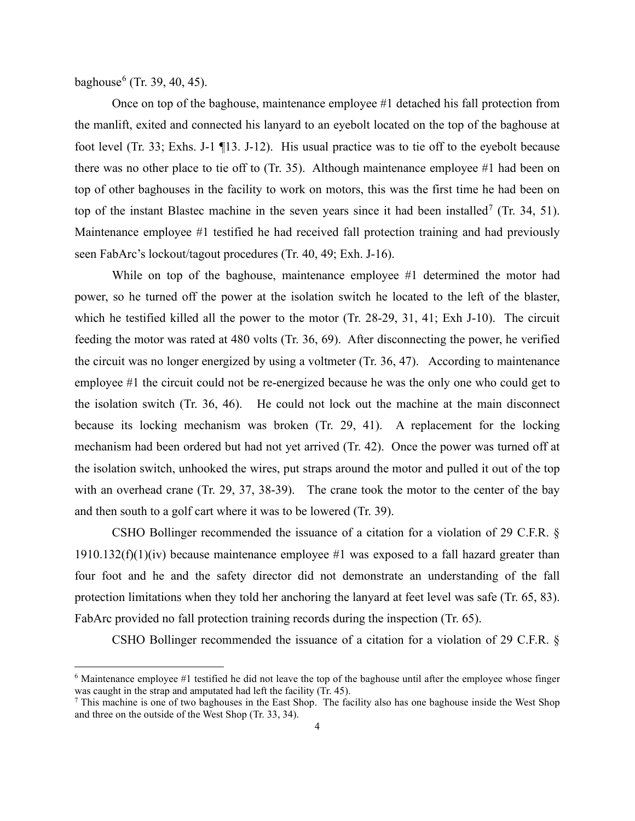baghouse<sup>[6](#page-3-0)</sup> (Tr. 39, 40, 45).

Once on top of the baghouse, maintenance employee #1 detached his fall protection from the manlift, exited and connected his lanyard to an eyebolt located on the top of the baghouse at foot level (Tr. 33; Exhs. J-1 ¶13. J-12). His usual practice was to tie off to the eyebolt because there was no other place to tie off to (Tr. 35). Although maintenance employee #1 had been on top of other baghouses in the facility to work on motors, this was the first time he had been on top of the instant Blastec machine in the seven years since it had been installed<sup>[7](#page-3-1)</sup> (Tr. 34, 51). Maintenance employee #1 testified he had received fall protection training and had previously seen FabArc's lockout/tagout procedures (Tr. 40, 49; Exh. J-16).

While on top of the baghouse, maintenance employee #1 determined the motor had power, so he turned off the power at the isolation switch he located to the left of the blaster, which he testified killed all the power to the motor (Tr. 28-29, 31, 41; Exh J-10). The circuit feeding the motor was rated at 480 volts (Tr. 36, 69). After disconnecting the power, he verified the circuit was no longer energized by using a voltmeter (Tr. 36, 47). According to maintenance employee #1 the circuit could not be re-energized because he was the only one who could get to the isolation switch (Tr. 36, 46). He could not lock out the machine at the main disconnect because its locking mechanism was broken (Tr. 29, 41). A replacement for the locking mechanism had been ordered but had not yet arrived (Tr. 42). Once the power was turned off at the isolation switch, unhooked the wires, put straps around the motor and pulled it out of the top with an overhead crane (Tr. 29, 37, 38-39). The crane took the motor to the center of the bay and then south to a golf cart where it was to be lowered (Tr. 39).

CSHO Bollinger recommended the issuance of a citation for a violation of 29 C.F.R. § 1910.132(f)(1)(iv) because maintenance employee  $#1$  was exposed to a fall hazard greater than four foot and he and the safety director did not demonstrate an understanding of the fall protection limitations when they told her anchoring the lanyard at feet level was safe (Tr. 65, 83). FabArc provided no fall protection training records during the inspection (Tr. 65).

CSHO Bollinger recommended the issuance of a citation for a violation of 29 C.F.R. §

<span id="page-3-0"></span><sup>6</sup> Maintenance employee #1 testified he did not leave the top of the baghouse until after the employee whose finger was caught in the strap and amputated had left the facility (Tr. 45).

<span id="page-3-1"></span> $<sup>7</sup>$  This machine is one of two baghouses in the East Shop. The facility also has one baghouse inside the West Shop</sup> and three on the outside of the West Shop (Tr. 33, 34).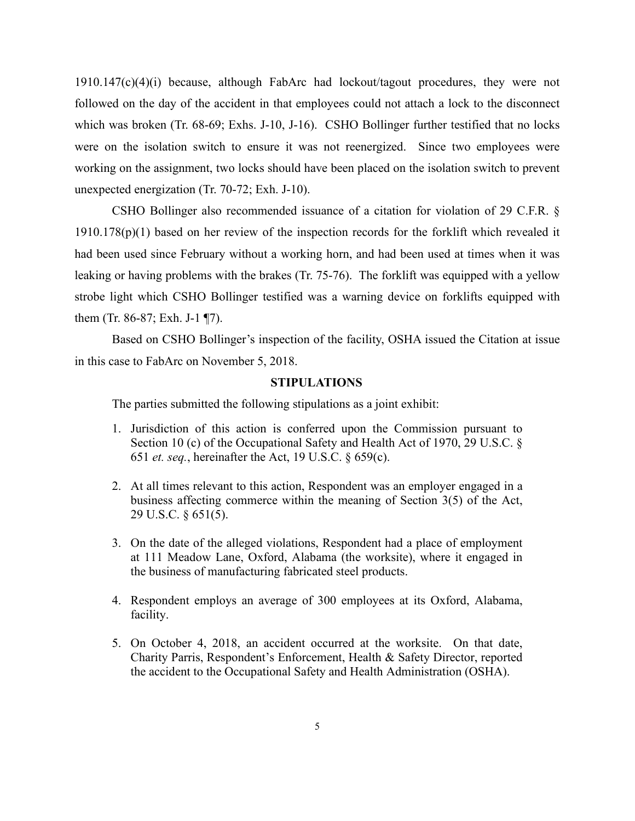1910.147(c)(4)(i) because, although FabArc had lockout/tagout procedures, they were not followed on the day of the accident in that employees could not attach a lock to the disconnect which was broken (Tr. 68-69; Exhs. J-10, J-16). CSHO Bollinger further testified that no locks were on the isolation switch to ensure it was not reenergized. Since two employees were working on the assignment, two locks should have been placed on the isolation switch to prevent unexpected energization (Tr. 70-72; Exh. J-10).

CSHO Bollinger also recommended issuance of a citation for violation of 29 C.F.R. §  $1910.178(p)(1)$  based on her review of the inspection records for the forklift which revealed it had been used since February without a working horn, and had been used at times when it was leaking or having problems with the brakes (Tr. 75-76). The forklift was equipped with a yellow strobe light which CSHO Bollinger testified was a warning device on forklifts equipped with them (Tr. 86-87; Exh. J-1 ¶7).

Based on CSHO Bollinger's inspection of the facility, OSHA issued the Citation at issue in this case to FabArc on November 5, 2018.

#### **STIPULATIONS**

The parties submitted the following stipulations as a joint exhibit:

- 1. Jurisdiction of this action is conferred upon the Commission pursuant to Section 10 (c) of the Occupational Safety and Health Act of 1970, 29 U.S.C. § 651 *et. seq.*, hereinafter the Act, 19 U.S.C. § 659(c).
- 2. At all times relevant to this action, Respondent was an employer engaged in a business affecting commerce within the meaning of Section 3(5) of the Act, 29 U.S.C. § 651(5).
- 3. On the date of the alleged violations, Respondent had a place of employment at 111 Meadow Lane, Oxford, Alabama (the worksite), where it engaged in the business of manufacturing fabricated steel products.
- 4. Respondent employs an average of 300 employees at its Oxford, Alabama, facility.
- 5. On October 4, 2018, an accident occurred at the worksite. On that date, Charity Parris, Respondent's Enforcement, Health & Safety Director, reported the accident to the Occupational Safety and Health Administration (OSHA).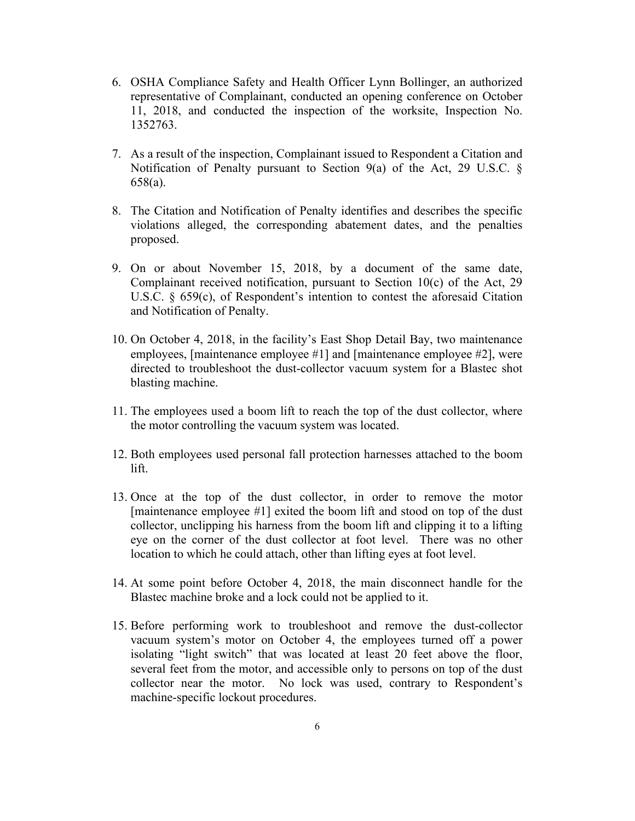- 6. OSHA Compliance Safety and Health Officer Lynn Bollinger, an authorized representative of Complainant, conducted an opening conference on October 11, 2018, and conducted the inspection of the worksite, Inspection No. 1352763.
- 7. As a result of the inspection, Complainant issued to Respondent a Citation and Notification of Penalty pursuant to Section 9(a) of the Act, 29 U.S.C. § 658(a).
- 8. The Citation and Notification of Penalty identifies and describes the specific violations alleged, the corresponding abatement dates, and the penalties proposed.
- 9. On or about November 15, 2018, by a document of the same date, Complainant received notification, pursuant to Section 10(c) of the Act, 29 U.S.C. § 659(c), of Respondent's intention to contest the aforesaid Citation and Notification of Penalty.
- 10. On October 4, 2018, in the facility's East Shop Detail Bay, two maintenance employees, [maintenance employee #1] and [maintenance employee #2], were directed to troubleshoot the dust-collector vacuum system for a Blastec shot blasting machine.
- 11. The employees used a boom lift to reach the top of the dust collector, where the motor controlling the vacuum system was located.
- 12. Both employees used personal fall protection harnesses attached to the boom lift.
- 13. Once at the top of the dust collector, in order to remove the motor [maintenance employee #1] exited the boom lift and stood on top of the dust collector, unclipping his harness from the boom lift and clipping it to a lifting eye on the corner of the dust collector at foot level. There was no other location to which he could attach, other than lifting eyes at foot level.
- 14. At some point before October 4, 2018, the main disconnect handle for the Blastec machine broke and a lock could not be applied to it.
- 15. Before performing work to troubleshoot and remove the dust-collector vacuum system's motor on October 4, the employees turned off a power isolating "light switch" that was located at least 20 feet above the floor, several feet from the motor, and accessible only to persons on top of the dust collector near the motor. No lock was used, contrary to Respondent's machine-specific lockout procedures.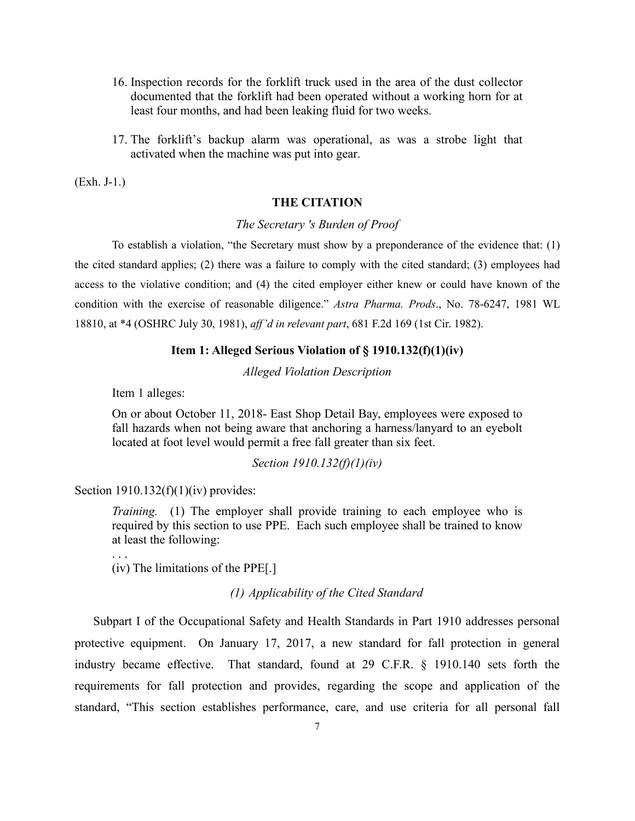- 16. Inspection records for the forklift truck used in the area of the dust collector documented that the forklift had been operated without a working horn for at least four months, and had been leaking fluid for two weeks.
- 17. The forklift's backup alarm was operational, as was a strobe light that activated when the machine was put into gear.

(Exh. J-1.)

## **THE CITATION**

### *The Secretary 's Burden of Proof*

To establish a violation, "the Secretary must show by a preponderance of the evidence that: (1) the cited standard applies; (2) there was a failure to comply with the cited standard; (3) employees had access to the violative condition; and (4) the cited employer either knew or could have known of the condition with the exercise of reasonable diligence." *Astra Pharma. Prods*., No. 78-6247, 1981 WL 18810, at \*4 (OSHRC July 30, 1981), *aff'd in relevant part*, 681 F.2d 169 (1st Cir. 1982).

#### **Item 1: Alleged Serious Violation of § 1910.132(f)(1)(iv)**

*Alleged Violation Description*

Item 1 alleges:

On or about October 11, 2018- East Shop Detail Bay, employees were exposed to fall hazards when not being aware that anchoring a harness/lanyard to an eyebolt located at foot level would permit a free fall greater than six feet.

### *Section 1910.132(f)(1)(iv)*

### Section  $1910.132(f)(1)(iv)$  provides:

. . .

*Training.* (1) The employer shall provide training to each employee who is required by this section to use PPE. Each such employee shall be trained to know at least the following:

(iv) The limitations of the PPE[.]

*(1) Applicability of the Cited Standard* 

Subpart I of the Occupational Safety and Health Standards in Part 1910 addresses personal protective equipment. On January 17, 2017, a new standard for fall protection in general industry became effective. That standard, found at 29 C.F.R. § 1910.140 sets forth the requirements for fall protection and provides, regarding the scope and application of the standard, "This section establishes performance, care, and use criteria for all personal fall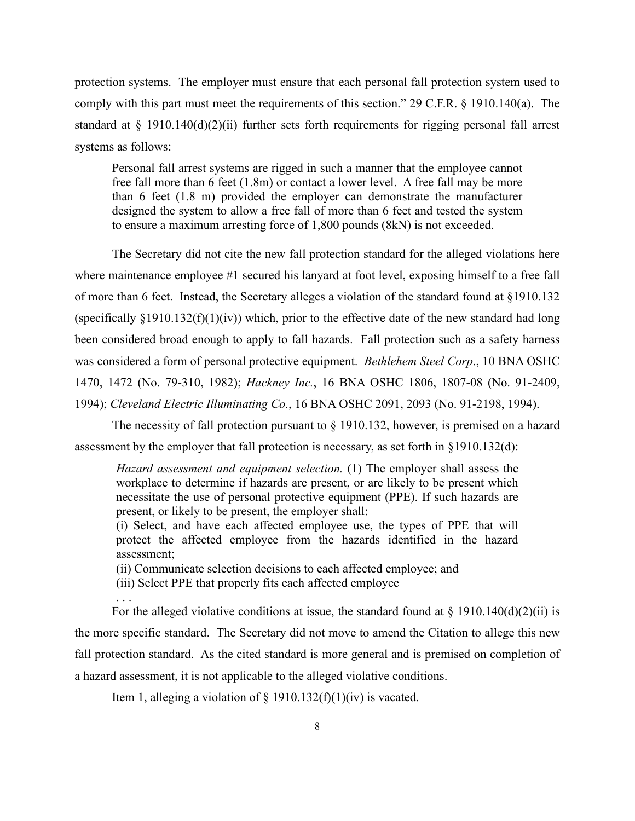protection systems. The employer must ensure that each personal fall protection system used to comply with this part must meet the requirements of this section." 29 C.F.R. § 1910.140(a). The standard at § 1910.140(d)(2)(ii) further sets forth requirements for rigging personal fall arrest systems as follows:

Personal fall arrest systems are rigged in such a manner that the employee cannot free fall more than 6 feet (1.8m) or contact a lower level. A free fall may be more than 6 feet (1.8 m) provided the employer can demonstrate the manufacturer designed the system to allow a free fall of more than 6 feet and tested the system to ensure a maximum arresting force of 1,800 pounds (8kN) is not exceeded.

The Secretary did not cite the new fall protection standard for the alleged violations here where maintenance employee #1 secured his lanyard at foot level, exposing himself to a free fall of more than 6 feet. Instead, the Secretary alleges a violation of [the standard found at §1910.132](http://www.westlaw.com/Link/Document/FullText?findType=L&pubNum=1000547&cite=29CFRS1910.132&originatingDoc=I95cda998e44611ddbc7bf97f340af743&refType=RB&originationContext=document&vr=3.0&rs=cblt1.0&transitionType=DocumentItem&contextData=(sc.Search)#co_pp_8b3b0000958a4) (specifically  $\S 1910.132(f)(1)(iv)$ ) which, prior to the effective date of the new standard had long been considered broad enough to apply to fall hazards. Fall protection such as a safety harness was considered a form of personal protective equipment. *Bethlehem Steel Corp*., 10 BNA OSHC 1470, 1472 (No. 79-310, 1982); *Hackney Inc.*, 16 BNA OSHC 1806, 1807-08 (No. 91-2409, 1994); *Cleveland Electric Illuminating Co.*, 16 BNA OSHC 2091, 2093 (No. 91-2198, 1994).

The necessity of fall protection pursuant to § 1910.132, however, is premised on a hazard assessment by the employer that fall protection is necessary, as set forth in §1910.132(d):

*Hazard assessment and equipment selection.* (1) The employer shall assess the workplace to determine if hazards are present, or are likely to be present which necessitate the use of personal protective equipment (PPE). If such hazards are present, or likely to be present, the employer shall:

(i) Select, and have each affected employee use, the types of PPE that will protect the affected employee from the hazards identified in the hazard assessment;

(ii) Communicate selection decisions to each affected employee; and

(iii) Select PPE that properly fits each affected employee

. . .

For the alleged violative conditions at issue, the standard found at  $\S$  1910.140(d)(2)(ii) is the more specific standard. The Secretary did not move to amend the Citation to allege this new fall protection standard. As the cited standard is more general and is premised on completion of a hazard assessment, it is not applicable to the alleged violative conditions.

Item 1, alleging a violation of  $\S$  1910.132(f)(1)(iv) is vacated.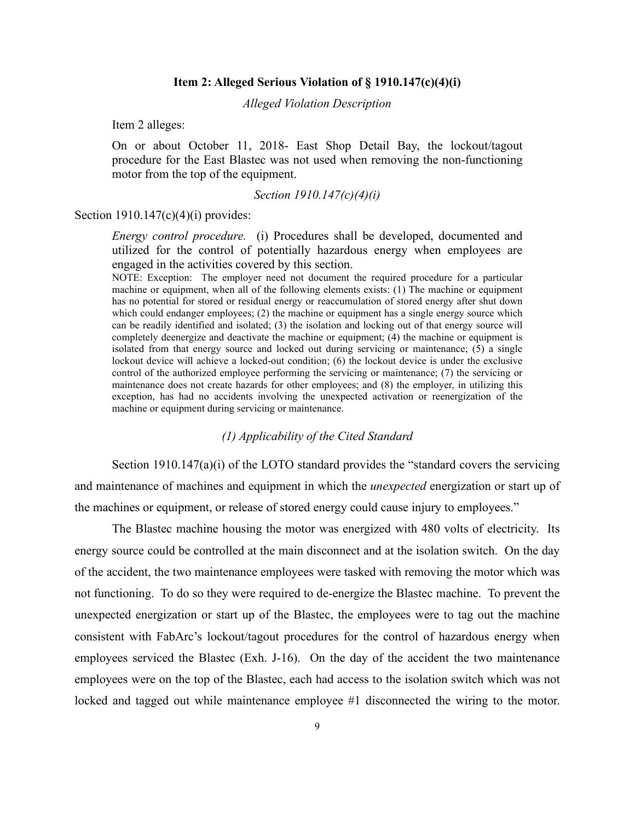#### **Item 2: Alleged Serious Violation of § 1910.147(c)(4)(i)**

*Alleged Violation Description*

Item 2 alleges:

On or about October 11, 2018- East Shop Detail Bay, the lockout/tagout procedure for the East Blastec was not used when removing the non-functioning motor from the top of the equipment.

#### *Section 1910.147(c)(4)(i)*

#### Section  $1910.147(c)(4)(i)$  provides:

*Energy control procedure.* (i) Procedures shall be developed, documented and utilized for the control of potentially hazardous energy when employees are engaged in the activities covered by this section.

NOTE: Exception: The employer need not document the required procedure for a particular machine or equipment, when all of the following elements exists: (1) The machine or equipment has no potential for stored or residual energy or reaccumulation of stored energy after shut down which could endanger employees; (2) the machine or equipment has a single energy source which can be readily identified and isolated; (3) the isolation and locking out of that energy source will completely deenergize and deactivate the machine or equipment; (4) the machine or equipment is isolated from that energy source and locked out during servicing or maintenance; (5) a single lockout device will achieve a locked-out condition; (6) the lockout device is under the exclusive control of the authorized employee performing the servicing or maintenance; (7) the servicing or maintenance does not create hazards for other employees; and (8) the employer, in utilizing this exception, has had no accidents involving the unexpected activation or reenergization of the machine or equipment during servicing or maintenance.

### *(1) Applicability of the Cited Standard*

Section  $1910.147(a)(i)$  of the LOTO standard provides the "standard covers the servicing and maintenance of machines and equipment in which the *unexpected* energization or start up of the machines or equipment, or release of stored energy could cause injury to employees."

The Blastec machine housing the motor was energized with 480 volts of electricity. Its energy source could be controlled at the main disconnect and at the isolation switch. On the day of the accident, the two maintenance employees were tasked with removing the motor which was not functioning. To do so they were required to de-energize the Blastec machine. To prevent the unexpected energization or start up of the Blastec, the employees were to tag out the machine consistent with FabArc's lockout/tagout procedures for the control of hazardous energy when employees serviced the Blastec (Exh. J-16). On the day of the accident the two maintenance employees were on the top of the Blastec, each had access to the isolation switch which was not locked and tagged out while maintenance employee #1 disconnected the wiring to the motor.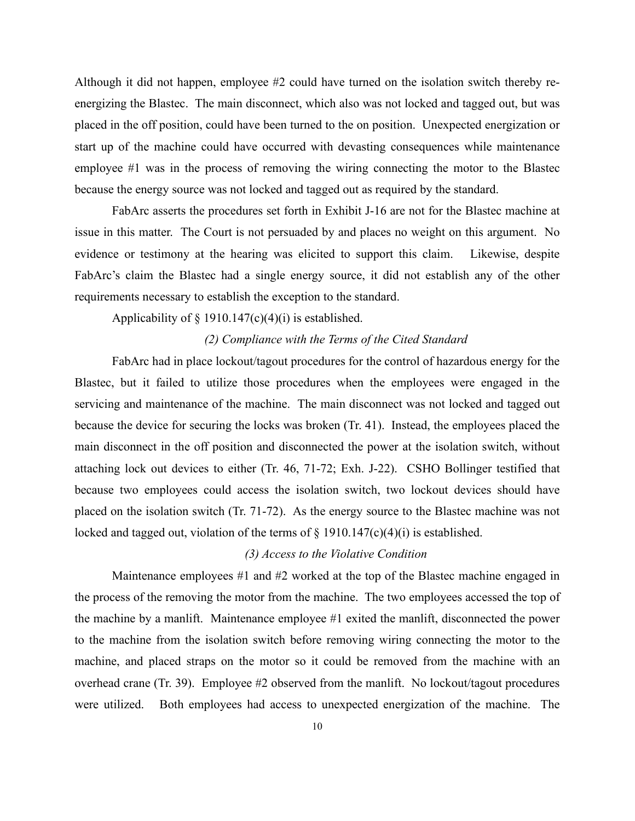Although it did not happen, employee #2 could have turned on the isolation switch thereby reenergizing the Blastec. The main disconnect, which also was not locked and tagged out, but was placed in the off position, could have been turned to the on position. Unexpected energization or start up of the machine could have occurred with devasting consequences while maintenance employee #1 was in the process of removing the wiring connecting the motor to the Blastec because the energy source was not locked and tagged out as required by the standard.

FabArc asserts the procedures set forth in Exhibit J-16 are not for the Blastec machine at issue in this matter. The Court is not persuaded by and places no weight on this argument. No evidence or testimony at the hearing was elicited to support this claim. Likewise, despite FabArc's claim the Blastec had a single energy source, it did not establish any of the other requirements necessary to establish the exception to the standard.

#### Applicability of  $\S$  1910.147(c)(4)(i) is established.

## *(2) Compliance with the Terms of the Cited Standard*

FabArc had in place lockout/tagout procedures for the control of hazardous energy for the Blastec, but it failed to utilize those procedures when the employees were engaged in the servicing and maintenance of the machine. The main disconnect was not locked and tagged out because the device for securing the locks was broken (Tr. 41). Instead, the employees placed the main disconnect in the off position and disconnected the power at the isolation switch, without attaching lock out devices to either (Tr. 46, 71-72; Exh. J-22). CSHO Bollinger testified that because two employees could access the isolation switch, two lockout devices should have placed on the isolation switch (Tr. 71-72). As the energy source to the Blastec machine was not locked and tagged out, violation of the terms of  $\S$  1910.147(c)(4)(i) is established.

#### *(3) Access to the Violative Condition*

Maintenance employees #1 and #2 worked at the top of the Blastec machine engaged in the process of the removing the motor from the machine. The two employees accessed the top of the machine by a manlift. Maintenance employee #1 exited the manlift, disconnected the power to the machine from the isolation switch before removing wiring connecting the motor to the machine, and placed straps on the motor so it could be removed from the machine with an overhead crane (Tr. 39). Employee #2 observed from the manlift. No lockout/tagout procedures were utilized. Both employees had access to unexpected energization of the machine. The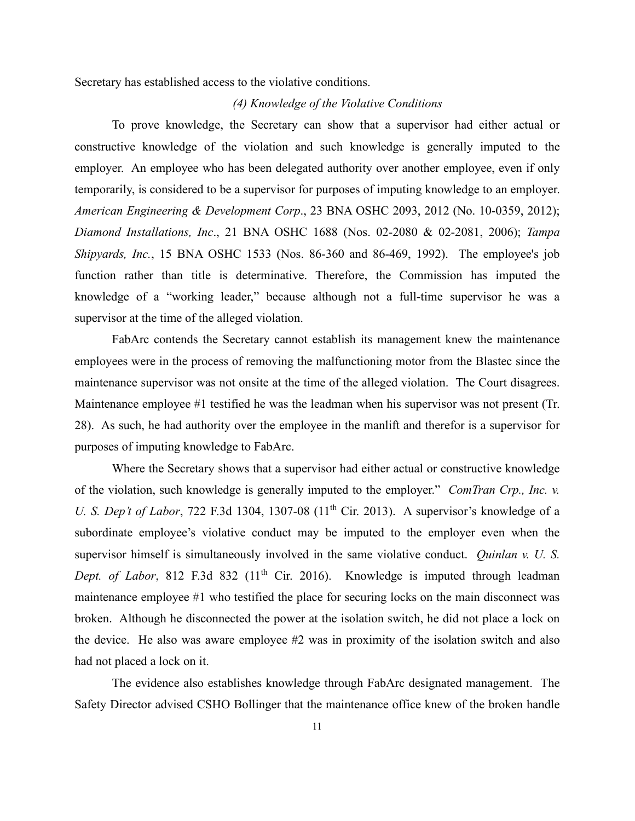Secretary has established access to the violative conditions.

#### *(4) Knowledge of the Violative Conditions*

To prove knowledge, the Secretary can show that a supervisor had either actual or constructive knowledge of the violation and such knowledge is generally imputed to the employer. An employee who has been delegated authority over another employee, even if only temporarily, is considered to be a supervisor for purposes of imputing knowledge to an employer. *American Engineering & Development Corp*., 23 BNA OSHC 2093, 2012 (No. 10-0359, 2012); *Diamond Installations, Inc*., 21 BNA OSHC 1688 (Nos. 02-2080 & 02-2081, 2006); *Tampa Shipyards, Inc.*, 15 BNA OSHC 1533 (Nos. 86-360 and 86-469, 1992). The employee's job function rather than title is determinative. Therefore, the Commission has imputed the knowledge of a "working leader," because although not a full-time supervisor he was a supervisor at the time of the alleged violation.

FabArc contends the Secretary cannot establish its management knew the maintenance employees were in the process of removing the malfunctioning motor from the Blastec since the maintenance supervisor was not onsite at the time of the alleged violation. The Court disagrees. Maintenance employee #1 testified he was the leadman when his supervisor was not present (Tr. 28). As such, he had authority over the employee in the manlift and therefor is a supervisor for purposes of imputing knowledge to FabArc.

Where the Secretary shows that a supervisor had either actual or constructive knowledge of the violation, such knowledge is generally imputed to the employer." *ComTran Crp., Inc. v. U. S. Dep't of Labor*, 722 F.3d 1304, 1307-08 (11<sup>th</sup> Cir. 2013). A supervisor's knowledge of a subordinate employee's violative conduct may be imputed to the employer even when the supervisor himself is simultaneously involved in the same violative conduct. *Quinlan v. U. S. Dept. of Labor*, 812 F.3d 832 (11<sup>th</sup> Cir. 2016). Knowledge is imputed through leadman maintenance employee #1 who testified the place for securing locks on the main disconnect was broken. Although he disconnected the power at the isolation switch, he did not place a lock on the device. He also was aware employee #2 was in proximity of the isolation switch and also had not placed a lock on it.

The evidence also establishes knowledge through FabArc designated management. The Safety Director advised CSHO Bollinger that the maintenance office knew of the broken handle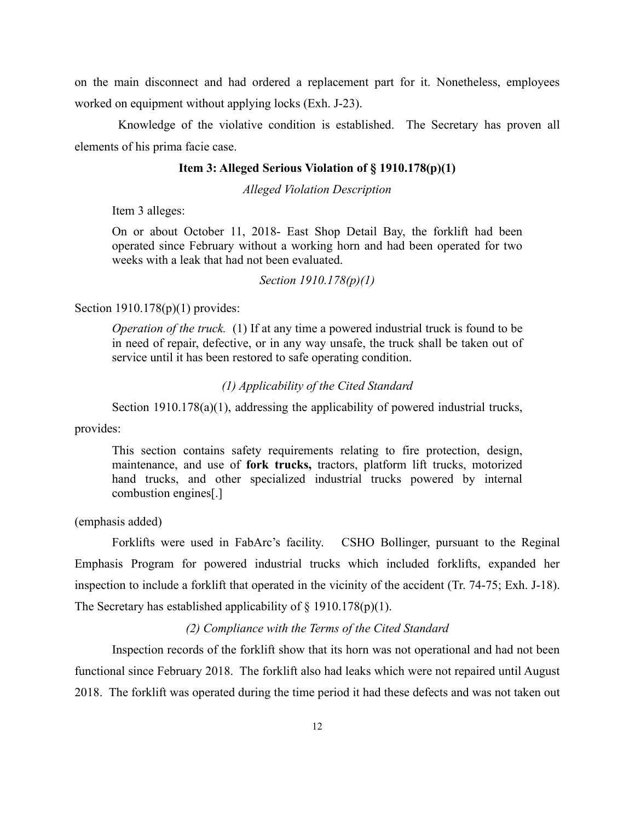on the main disconnect and had ordered a replacement part for it. Nonetheless, employees worked on equipment without applying locks (Exh. J-23).

 Knowledge of the violative condition is established. The Secretary has proven all elements of his prima facie case.

## **Item 3: Alleged Serious Violation of § 1910.178(p)(1)**

*Alleged Violation Description*

Item 3 alleges:

On or about October 11, 2018- East Shop Detail Bay, the forklift had been operated since February without a working horn and had been operated for two weeks with a leak that had not been evaluated.

#### *Section 1910.178(p)(1)*

Section 1910.178(p)(1) provides:

*Operation of the truck.* (1) If at any time a powered industrial truck is found to be in need of repair, defective, or in any way unsafe, the truck shall be taken out of service until it has been restored to safe operating condition.

#### *(1) Applicability of the Cited Standard*

Section 1910.178(a)(1), addressing the applicability of powered industrial trucks,

provides:

This section contains safety requirements relating to fire protection, design, maintenance, and use of **fork trucks,** tractors, platform lift trucks, motorized hand trucks, and other specialized industrial trucks powered by internal combustion engines[.]

(emphasis added)

Forklifts were used in FabArc's facility. CSHO Bollinger, pursuant to the Reginal Emphasis Program for powered industrial trucks which included forklifts, expanded her inspection to include a forklift that operated in the vicinity of the accident (Tr. 74-75; Exh. J-18). The Secretary has established applicability of  $\S$  1910.178(p)(1).

#### *(2) Compliance with the Terms of the Cited Standard*

Inspection records of the forklift show that its horn was not operational and had not been functional since February 2018. The forklift also had leaks which were not repaired until August 2018. The forklift was operated during the time period it had these defects and was not taken out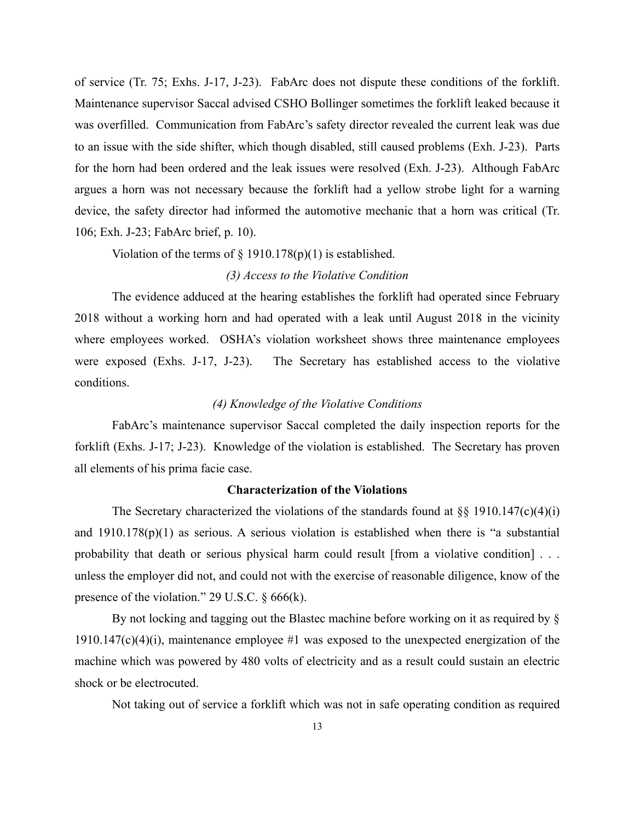of service (Tr. 75; Exhs. J-17, J-23). FabArc does not dispute these conditions of the forklift. Maintenance supervisor Saccal advised CSHO Bollinger sometimes the forklift leaked because it was overfilled. Communication from FabArc's safety director revealed the current leak was due to an issue with the side shifter, which though disabled, still caused problems (Exh. J-23). Parts for the horn had been ordered and the leak issues were resolved (Exh. J-23). Although FabArc argues a horn was not necessary because the forklift had a yellow strobe light for a warning device, the safety director had informed the automotive mechanic that a horn was critical (Tr. 106; Exh. J-23; FabArc brief, p. 10).

Violation of the terms of  $\S$  1910.178(p)(1) is established.

#### *(3) Access to the Violative Condition*

The evidence adduced at the hearing establishes the forklift had operated since February 2018 without a working horn and had operated with a leak until August 2018 in the vicinity where employees worked. OSHA's violation worksheet shows three maintenance employees were exposed (Exhs. J-17, J-23). The Secretary has established access to the violative conditions.

# *(4) Knowledge of the Violative Conditions*

FabArc's maintenance supervisor Saccal completed the daily inspection reports for the forklift (Exhs. J-17; J-23). Knowledge of the violation is established. The Secretary has proven all elements of his prima facie case.

### **Characterization of the Violations**

The Secretary characterized the violations of the standards found at  $\S$ § 1910.147(c)(4)(i) and 1910.178(p)(1) as serious. A serious violation is established when there is "a substantial probability that death or serious physical harm could result [from a violative condition] . . . unless the employer did not, and could not with the exercise of reasonable diligence, know of the presence of the violation." 29 U.S.C. § 666(k).

By not locking and tagging out the Blastec machine before working on it as required by §  $1910.147(c)(4)(i)$ , maintenance employee #1 was exposed to the unexpected energization of the machine which was powered by 480 volts of electricity and as a result could sustain an electric shock or be electrocuted.

Not taking out of service a forklift which was not in safe operating condition as required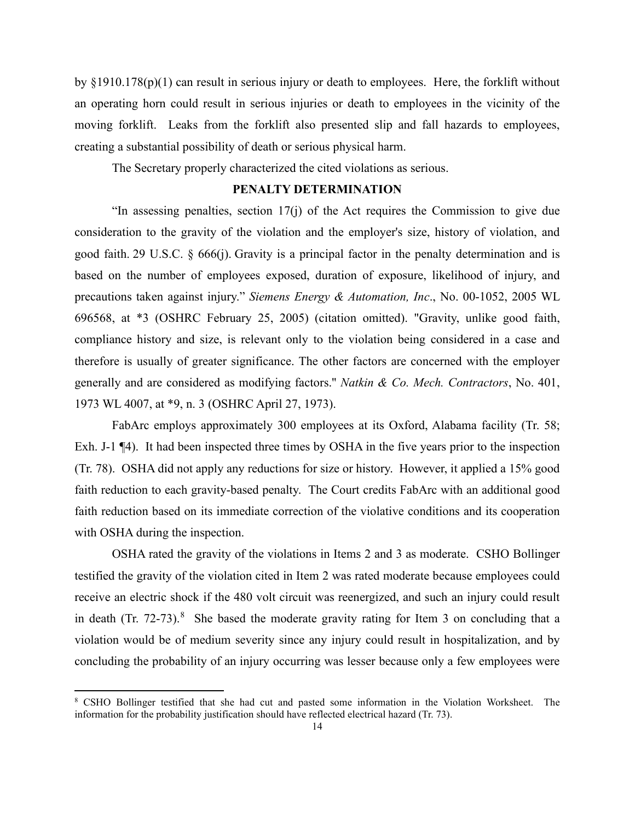by §1910.178(p)(1) can result in serious injury or death to employees. Here, the forklift without an operating horn could result in serious injuries or death to employees in the vicinity of the moving forklift. Leaks from the forklift also presented slip and fall hazards to employees, creating a substantial possibility of death or serious physical harm.

The Secretary properly characterized the cited violations as serious.

## **PENALTY DETERMINATION**

"In assessing penalties, section 17(j) of the Act requires the Commission to give due consideration to the gravity of the violation and the employer's size, history of violation, and good faith. [29 U.S.C. § 666\(j\).](https://1.next.westlaw.com/Link/Document/FullText?findType=L&pubNum=1000546&cite=29USCAS666&originatingDoc=Iec8e1f76fa3811d9bf60c1d57ebc853e&refType=RB&originationContext=document&transitionType=DocumentItem&contextData=(sc.DocLink)#co_pp_267600008f864) Gravity is a principal factor in the penalty determination and is based on the number of employees exposed, duration of exposure, likelihood of injury, and precautions taken against injury." *Siemens Energy & Automation, Inc*., No. 00-1052, 2005 WL 696568, at \*3 (OSHRC February 25, 2005) (citation omitted). "Gravity, unlike good faith, compliance history and size, is relevant only to the violation being considered in a case and therefore is usually of greater significance. The other factors are concerned with the employer generally and are considered as modifying factors.'' *Natkin & Co. Mech. Contractors*, No. 401, 1973 WL 4007, at \*9, n. 3 (OSHRC April 27, 1973).

FabArc employs approximately 300 employees at its Oxford, Alabama facility (Tr. 58; Exh. J-1  $\P$ 4). It had been inspected three times by OSHA in the five years prior to the inspection (Tr. 78). OSHA did not apply any reductions for size or history. However, it applied a 15% good faith reduction to each gravity-based penalty. The Court credits FabArc with an additional good faith reduction based on its immediate correction of the violative conditions and its cooperation with OSHA during the inspection.

OSHA rated the gravity of the violations in Items 2 and 3 as moderate. CSHO Bollinger testified the gravity of the violation cited in Item 2 was rated moderate because employees could receive an electric shock if the 480 volt circuit was reenergized, and such an injury could result in death (Tr. 72-73).<sup>[8](#page-13-0)</sup> She based the moderate gravity rating for Item 3 on concluding that a violation would be of medium severity since any injury could result in hospitalization, and by concluding the probability of an injury occurring was lesser because only a few employees were

<span id="page-13-0"></span><sup>8</sup> CSHO Bollinger testified that she had cut and pasted some information in the Violation Worksheet. The information for the probability justification should have reflected electrical hazard (Tr. 73).